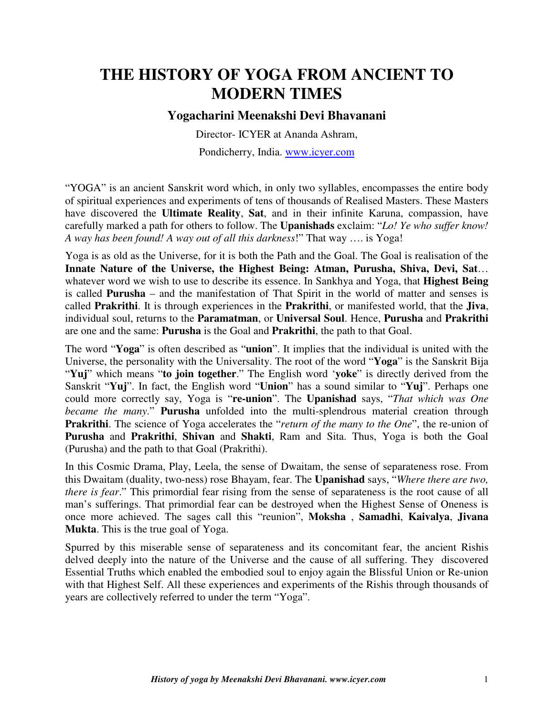# **THE HISTORY OF YOGA FROM ANCIENT TO MODERN TIMES**

## **Yogacharini Meenakshi Devi Bhavanani**

Director- ICYER at Ananda Ashram, Pondicherry, India. www.icyer.com

"YOGA" is an ancient Sanskrit word which, in only two syllables, encompasses the entire body of spiritual experiences and experiments of tens of thousands of Realised Masters. These Masters have discovered the **Ultimate Reality**, **Sat**, and in their infinite Karuna, compassion, have carefully marked a path for others to follow. The **Upanishads** exclaim: "*Lo! Ye who suffer know!* 

*A way has been found! A way out of all this darkness*!" That way …. is Yoga!

Yoga is as old as the Universe, for it is both the Path and the Goal. The Goal is realisation of the **Innate Nature of the Universe, the Highest Being: Atman, Purusha, Shiva, Devi, Sat**… whatever word we wish to use to describe its essence. In Sankhya and Yoga, that **Highest Being**  is called **Purusha** – and the manifestation of That Spirit in the world of matter and senses is called **Prakrithi**. It is through experiences in the **Prakrithi**, or manifested world, that the **Jiva**, individual soul, returns to the **Paramatman**, or **Universal Soul**. Hence, **Purusha** and **Prakrithi**  are one and the same: **Purusha** is the Goal and **Prakrithi**, the path to that Goal.

The word "**Yoga**" is often described as "**union**". It implies that the individual is united with the Universe, the personality with the Universality. The root of the word "**Yoga**" is the Sanskrit Bija "**Yuj**" which means "**to join together**." The English word '**yoke**" is directly derived from the Sanskrit "**Yuj**". In fact, the English word "**Union**" has a sound similar to "**Yuj**". Perhaps one could more correctly say, Yoga is "**re-union**". The **Upanishad** says, "*That which was One became the many*." **Purusha** unfolded into the multi-splendrous material creation through **Prakrithi**. The science of Yoga accelerates the "*return of the many to the One*", the re-union of **Purusha** and **Prakrithi**, **Shivan** and **Shakti**, Ram and Sita. Thus, Yoga is both the Goal (Purusha) and the path to that Goal (Prakrithi).

In this Cosmic Drama, Play, Leela, the sense of Dwaitam, the sense of separateness rose. From this Dwaitam (duality, two-ness) rose Bhayam, fear. The **Upanishad** says, "*Where there are two, there is fear*." This primordial fear rising from the sense of separateness is the root cause of all man's sufferings. That primordial fear can be destroyed when the Highest Sense of Oneness is once more achieved. The sages call this "reunion", **Moksha** , **Samadhi**, **Kaivalya**, **Jivana Mukta**. This is the true goal of Yoga.

Spurred by this miserable sense of separateness and its concomitant fear, the ancient Rishis delved deeply into the nature of the Universe and the cause of all suffering. They discovered Essential Truths which enabled the embodied soul to enjoy again the Blissful Union or Re-union with that Highest Self. All these experiences and experiments of the Rishis through thousands of years are collectively referred to under the term "Yoga".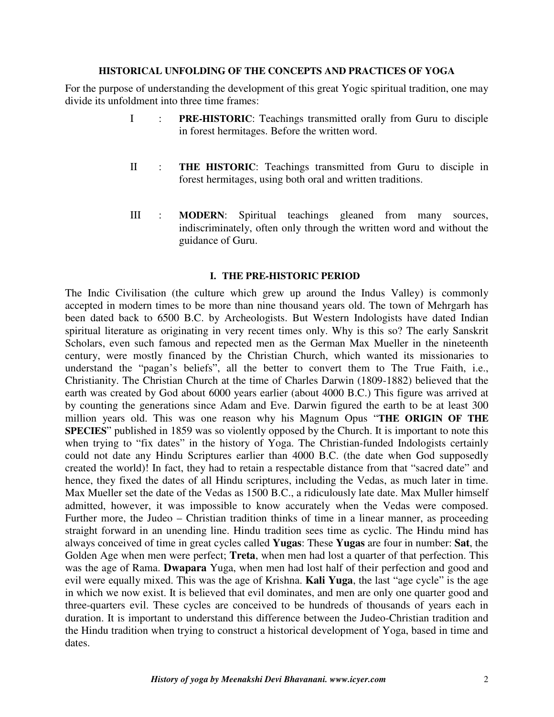#### **HISTORICAL UNFOLDING OF THE CONCEPTS AND PRACTICES OF YOGA**

For the purpose of understanding the development of this great Yogic spiritual tradition, one may divide its unfoldment into three time frames:

- I : **PRE-HISTORIC**: Teachings transmitted orally from Guru to disciple in forest hermitages. Before the written word.
- II : **THE HISTORIC**: Teachings transmitted from Guru to disciple in forest hermitages, using both oral and written traditions.
- III : **MODERN**: Spiritual teachings gleaned from many sources, indiscriminately, often only through the written word and without the guidance of Guru.

#### **I. THE PRE-HISTORIC PERIOD**

The Indic Civilisation (the culture which grew up around the Indus Valley) is commonly accepted in modern times to be more than nine thousand years old. The town of Mehrgarh has been dated back to 6500 B.C. by Archeologists. But Western Indologists have dated Indian spiritual literature as originating in very recent times only. Why is this so? The early Sanskrit Scholars, even such famous and repected men as the German Max Mueller in the nineteenth century, were mostly financed by the Christian Church, which wanted its missionaries to understand the "pagan's beliefs", all the better to convert them to The True Faith, i.e., Christianity. The Christian Church at the time of Charles Darwin (1809-1882) believed that the earth was created by God about 6000 years earlier (about 4000 B.C.) This figure was arrived at by counting the generations since Adam and Eve. Darwin figured the earth to be at least 300 million years old. This was one reason why his Magnum Opus "**THE ORIGIN OF THE SPECIES**" published in 1859 was so violently opposed by the Church. It is important to note this when trying to "fix dates" in the history of Yoga. The Christian-funded Indologists certainly could not date any Hindu Scriptures earlier than 4000 B.C. (the date when God supposedly created the world)! In fact, they had to retain a respectable distance from that "sacred date" and hence, they fixed the dates of all Hindu scriptures, including the Vedas, as much later in time. Max Mueller set the date of the Vedas as 1500 B.C., a ridiculously late date. Max Muller himself admitted, however, it was impossible to know accurately when the Vedas were composed. Further more, the Judeo – Christian tradition thinks of time in a linear manner, as proceeding straight forward in an unending line. Hindu tradition sees time as cyclic. The Hindu mind has always conceived of time in great cycles called **Yugas**: These **Yugas** are four in number: **Sat**, the Golden Age when men were perfect; **Treta**, when men had lost a quarter of that perfection. This was the age of Rama. **Dwapara** Yuga, when men had lost half of their perfection and good and evil were equally mixed. This was the age of Krishna. **Kali Yuga**, the last "age cycle" is the age in which we now exist. It is believed that evil dominates, and men are only one quarter good and three-quarters evil. These cycles are conceived to be hundreds of thousands of years each in duration. It is important to understand this difference between the Judeo-Christian tradition and the Hindu tradition when trying to construct a historical development of Yoga, based in time and dates.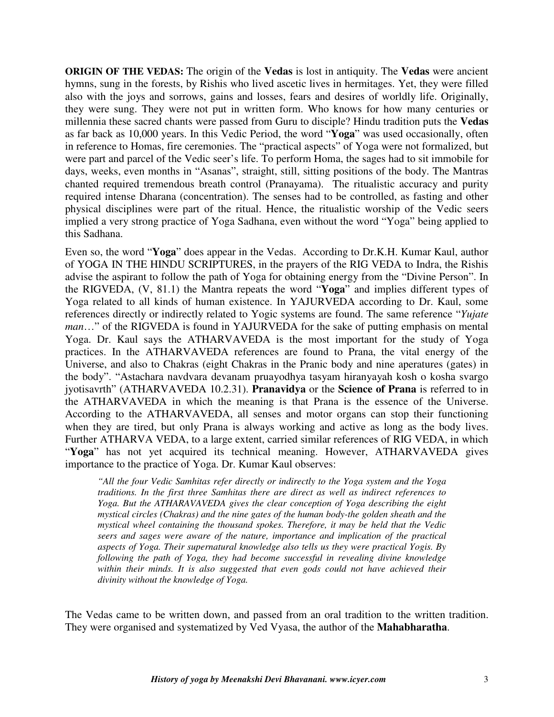**ORIGIN OF THE VEDAS:** The origin of the **Vedas** is lost in antiquity. The **Vedas** were ancient hymns, sung in the forests, by Rishis who lived ascetic lives in hermitages. Yet, they were filled also with the joys and sorrows, gains and losses, fears and desires of worldly life. Originally, they were sung. They were not put in written form. Who knows for how many centuries or millennia these sacred chants were passed from Guru to disciple? Hindu tradition puts the **Vedas**  as far back as 10,000 years. In this Vedic Period, the word "**Yoga**" was used occasionally, often in reference to Homas, fire ceremonies. The "practical aspects" of Yoga were not formalized, but were part and parcel of the Vedic seer's life. To perform Homa, the sages had to sit immobile for days, weeks, even months in "Asanas", straight, still, sitting positions of the body. The Mantras chanted required tremendous breath control (Pranayama). The ritualistic accuracy and purity required intense Dharana (concentration). The senses had to be controlled, as fasting and other physical disciplines were part of the ritual. Hence, the ritualistic worship of the Vedic seers implied a very strong practice of Yoga Sadhana, even without the word "Yoga" being applied to this Sadhana.

Even so, the word "**Yoga**" does appear in the Vedas. According to Dr.K.H. Kumar Kaul, author of YOGA IN THE HINDU SCRIPTURES, in the prayers of the RIG VEDA to Indra, the Rishis advise the aspirant to follow the path of Yoga for obtaining energy from the "Divine Person". In the RIGVEDA, (V, 81.1) the Mantra repeats the word "**Yoga**" and implies different types of Yoga related to all kinds of human existence. In YAJURVEDA according to Dr. Kaul, some references directly or indirectly related to Yogic systems are found. The same reference "*Yujate man*..." of the RIGVEDA is found in YAJURVEDA for the sake of putting emphasis on mental Yoga. Dr. Kaul says the ATHARVAVEDA is the most important for the study of Yoga practices. In the ATHARVAVEDA references are found to Prana, the vital energy of the Universe, and also to Chakras (eight Chakras in the Pranic body and nine aperatures (gates) in the body". "Astachara navdvara devanam pruayodhya tasyam hiranyayah kosh o kosha svargo jyotisavrth" (ATHARVAVEDA 10.2.31). **Pranavidya** or the **Science of Prana** is referred to in the ATHARVAVEDA in which the meaning is that Prana is the essence of the Universe. According to the ATHARVAVEDA, all senses and motor organs can stop their functioning when they are tired, but only Prana is always working and active as long as the body lives. Further ATHARVA VEDA, to a large extent, carried similar references of RIG VEDA, in which "Yoga" has not yet acquired its technical meaning. However, ATHARVAVEDA gives importance to the practice of Yoga. Dr. Kumar Kaul observes:

*"All the four Vedic Samhitas refer directly or indirectly to the Yoga system and the Yoga traditions. In the first three Samhitas there are direct as well as indirect references to Yoga. But the ATHARAVAVEDA gives the clear conception of Yoga describing the eight mystical circles (Chakras) and the nine gates of the human body-the golden sheath and the mystical wheel containing the thousand spokes. Therefore, it may be held that the Vedic seers and sages were aware of the nature, importance and implication of the practical aspects of Yoga. Their supernatural knowledge also tells us they were practical Yogis. By following the path of Yoga, they had become successful in revealing divine knowledge*  within their minds. It is also suggested that even gods could not have achieved their *divinity without the knowledge of Yoga.* 

The Vedas came to be written down, and passed from an oral tradition to the written tradition. They were organised and systematized by Ved Vyasa, the author of the **Mahabharatha**.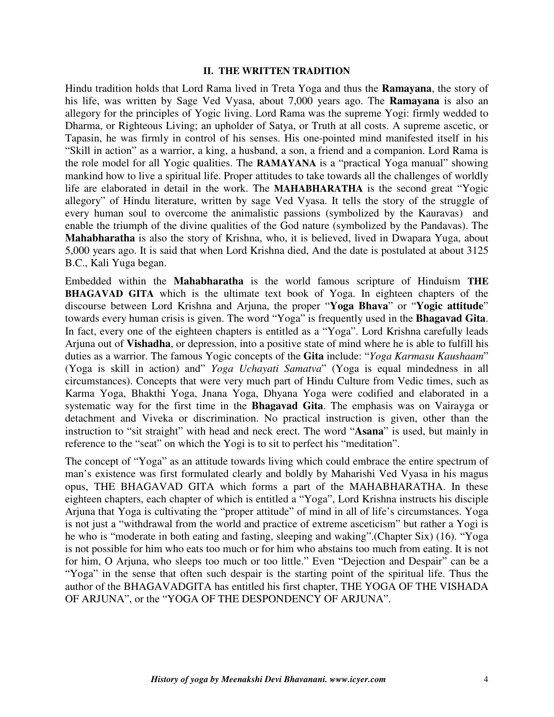#### **II. THE WRITTEN TRADITION**

Hindu tradition holds that Lord Rama lived in Treta Yoga and thus the **Ramayana**, the story of his life, was written by Sage Ved Vyasa, about 7,000 years ago. The **Ramayana** is also an allegory for the principles of Yogic living. Lord Rama was the supreme Yogi: firmly wedded to Dharma, or Righteous Living; an upholder of Satya, or Truth at all costs. A supreme ascetic, or Tapasin, he was firmly in control of his senses. His one-pointed mind manifested itself in his "Skill in action" as a warrior, a king, a husband, a son, a friend and a companion. Lord Rama is the role model for all Yogic qualities. The **RAMAYANA** is a "practical Yoga manual" showing mankind how to live a spiritual life. Proper attitudes to take towards all the challenges of worldly life are elaborated in detail in the work. The **MAHABHARATHA** is the second great "Yogic allegory" of Hindu literature, written by sage Ved Vyasa. It tells the story of the struggle of every human soul to overcome the animalistic passions (symbolized by the Kauravas) and enable the triumph of the divine qualities of the God nature (symbolized by the Pandavas). The **Mahabharatha** is also the story of Krishna, who, it is believed, lived in Dwapara Yuga, about 5,000 years ago. It is said that when Lord Krishna died, And the date is postulated at about 3125 B.C., Kali Yuga began.

Embedded within the **Mahabharatha** is the world famous scripture of Hinduism **THE BHAGAVAD GITA** which is the ultimate text book of Yoga. In eighteen chapters of the discourse between Lord Krishna and Arjuna, the proper "**Yoga Bhava**" or "**Yogic attitude**" towards every human crisis is given. The word "Yoga" is frequently used in the **Bhagavad Gita**. In fact, every one of the eighteen chapters is entitled as a "Yoga". Lord Krishna carefully leads Arjuna out of **Vishadha**, or depression, into a positive state of mind where he is able to fulfill his duties as a warrior. The famous Yogic concepts of the **Gita** include: "*Yoga Karmasu Kaushaam*" (Yoga is skill in action) and" *Yoga Uchayati Samatva*" (Yoga is equal mindedness in all circumstances). Concepts that were very much part of Hindu Culture from Vedic times, such as Karma Yoga, Bhakthi Yoga, Jnana Yoga, Dhyana Yoga were codified and elaborated in a systematic way for the first time in the **Bhagavad Gita**. The emphasis was on Vairayga or detachment and Viveka or discrimination. No practical instruction is given, other than the instruction to "sit straight" with head and neck erect. The word "**Asana**" is used, but mainly in reference to the "seat" on which the Yogi is to sit to perfect his "meditation".

The concept of "Yoga" as an attitude towards living which could embrace the entire spectrum of man's existence was first formulated clearly and boldly by Maharishi Ved Vyasa in his magus opus, THE BHAGAVAD GITA which forms a part of the MAHABHARATHA. In these eighteen chapters, each chapter of which is entitled a "Yoga", Lord Krishna instructs his disciple Arjuna that Yoga is cultivating the "proper attitude" of mind in all of life's circumstances. Yoga is not just a "withdrawal from the world and practice of extreme asceticism" but rather a Yogi is he who is "moderate in both eating and fasting, sleeping and waking".(Chapter Six) (16). "Yoga is not possible for him who eats too much or for him who abstains too much from eating. It is not for him, O Arjuna, who sleeps too much or too little." Even "Dejection and Despair" can be a "Yoga" in the sense that often such despair is the starting point of the spiritual life. Thus the author of the BHAGAVADGITA has entitled his first chapter, THE YOGA OF THE VISHADA OF ARJUNA", or the "YOGA OF THE DESPONDENCY OF ARJUNA".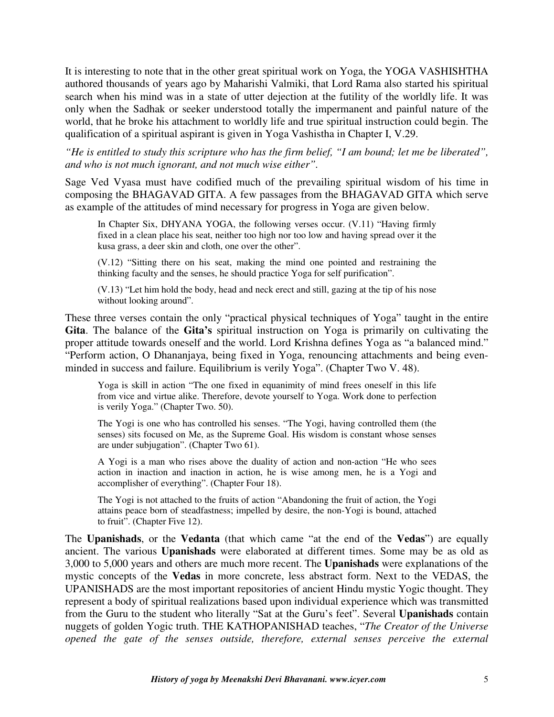It is interesting to note that in the other great spiritual work on Yoga, the YOGA VASHISHTHA authored thousands of years ago by Maharishi Valmiki, that Lord Rama also started his spiritual search when his mind was in a state of utter dejection at the futility of the worldly life. It was only when the Sadhak or seeker understood totally the impermanent and painful nature of the world, that he broke his attachment to worldly life and true spiritual instruction could begin. The qualification of a spiritual aspirant is given in Yoga Vashistha in Chapter I, V.29.

*"He is entitled to study this scripture who has the firm belief, "I am bound; let me be liberated", and who is not much ignorant, and not much wise either".*

Sage Ved Vyasa must have codified much of the prevailing spiritual wisdom of his time in composing the BHAGAVAD GITA. A few passages from the BHAGAVAD GITA which serve as example of the attitudes of mind necessary for progress in Yoga are given below.

In Chapter Six, DHYANA YOGA, the following verses occur. (V.11) "Having firmly fixed in a clean place his seat, neither too high nor too low and having spread over it the kusa grass, a deer skin and cloth, one over the other".

(V.12) "Sitting there on his seat, making the mind one pointed and restraining the thinking faculty and the senses, he should practice Yoga for self purification".

(V.13) "Let him hold the body, head and neck erect and still, gazing at the tip of his nose without looking around".

These three verses contain the only "practical physical techniques of Yoga" taught in the entire **Gita**. The balance of the **Gita's** spiritual instruction on Yoga is primarily on cultivating the proper attitude towards oneself and the world. Lord Krishna defines Yoga as "a balanced mind." "Perform action, O Dhananjaya, being fixed in Yoga, renouncing attachments and being evenminded in success and failure. Equilibrium is verily Yoga". (Chapter Two V. 48).

Yoga is skill in action "The one fixed in equanimity of mind frees oneself in this life from vice and virtue alike. Therefore, devote yourself to Yoga. Work done to perfection is verily Yoga." (Chapter Two. 50).

The Yogi is one who has controlled his senses. "The Yogi, having controlled them (the senses) sits focused on Me, as the Supreme Goal. His wisdom is constant whose senses are under subjugation". (Chapter Two 61).

A Yogi is a man who rises above the duality of action and non-action "He who sees action in inaction and inaction in action, he is wise among men, he is a Yogi and accomplisher of everything". (Chapter Four 18).

The Yogi is not attached to the fruits of action "Abandoning the fruit of action, the Yogi attains peace born of steadfastness; impelled by desire, the non-Yogi is bound, attached to fruit". (Chapter Five 12).

The **Upanishads**, or the **Vedanta** (that which came "at the end of the **Vedas**") are equally ancient. The various **Upanishads** were elaborated at different times. Some may be as old as 3,000 to 5,000 years and others are much more recent. The **Upanishads** were explanations of the mystic concepts of the **Vedas** in more concrete, less abstract form. Next to the VEDAS, the UPANISHADS are the most important repositories of ancient Hindu mystic Yogic thought. They represent a body of spiritual realizations based upon individual experience which was transmitted from the Guru to the student who literally "Sat at the Guru's feet". Several **Upanishads** contain nuggets of golden Yogic truth. THE KATHOPANISHAD teaches, "*The Creator of the Universe opened the gate of the senses outside, therefore, external senses perceive the external*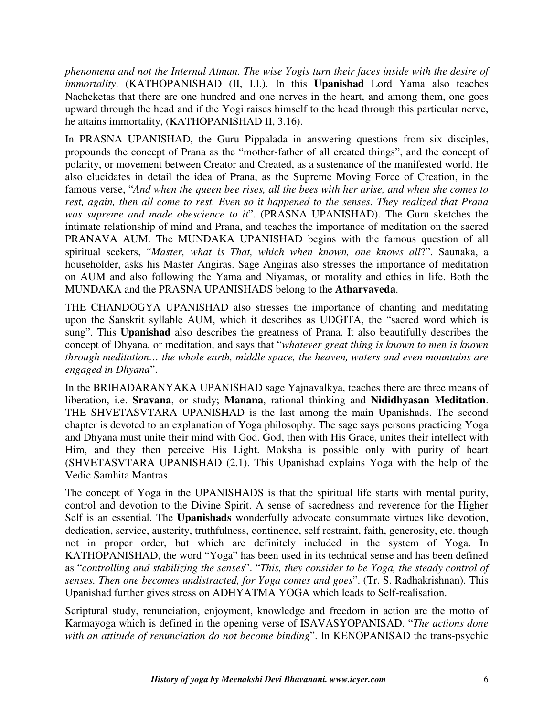*phenomena and not the Internal Atman. The wise Yogis turn their faces inside with the desire of immortality*. (KATHOPANISHAD (II, I.I.). In this **Upanishad** Lord Yama also teaches Nacheketas that there are one hundred and one nerves in the heart, and among them, one goes upward through the head and if the Yogi raises himself to the head through this particular nerve, he attains immortality, (KATHOPANISHAD II, 3.16).

In PRASNA UPANISHAD, the Guru Pippalada in answering questions from six disciples, propounds the concept of Prana as the "mother-father of all created things", and the concept of polarity, or movement between Creator and Created, as a sustenance of the manifested world. He also elucidates in detail the idea of Prana, as the Supreme Moving Force of Creation, in the famous verse, "*And when the queen bee rises, all the bees with her arise, and when she comes to rest, again, then all come to rest. Even so it happened to the senses. They realized that Prana was supreme and made obescience to it*". (PRASNA UPANISHAD). The Guru sketches the intimate relationship of mind and Prana, and teaches the importance of meditation on the sacred PRANAVA AUM. The MUNDAKA UPANISHAD begins with the famous question of all spiritual seekers, "*Master, what is That, which when known, one knows all*?". Saunaka, a householder, asks his Master Angiras. Sage Angiras also stresses the importance of meditation on AUM and also following the Yama and Niyamas, or morality and ethics in life. Both the MUNDAKA and the PRASNA UPANISHADS belong to the **Atharvaveda**.

THE CHANDOGYA UPANISHAD also stresses the importance of chanting and meditating upon the Sanskrit syllable AUM, which it describes as UDGITA, the "sacred word which is sung". This **Upanishad** also describes the greatness of Prana. It also beautifully describes the concept of Dhyana, or meditation, and says that "*whatever great thing is known to men is known through meditation… the whole earth, middle space, the heaven, waters and even mountains are engaged in Dhyana*".

In the BRIHADARANYAKA UPANISHAD sage Yajnavalkya, teaches there are three means of liberation, i.e. **Sravana**, or study; **Manana**, rational thinking and **Nididhyasan Meditation**. THE SHVETASVTARA UPANISHAD is the last among the main Upanishads. The second chapter is devoted to an explanation of Yoga philosophy. The sage says persons practicing Yoga and Dhyana must unite their mind with God. God, then with His Grace, unites their intellect with Him, and they then perceive His Light. Moksha is possible only with purity of heart (SHVETASVTARA UPANISHAD (2.1). This Upanishad explains Yoga with the help of the Vedic Samhita Mantras.

The concept of Yoga in the UPANISHADS is that the spiritual life starts with mental purity, control and devotion to the Divine Spirit. A sense of sacredness and reverence for the Higher Self is an essential. The **Upanishads** wonderfully advocate consummate virtues like devotion, dedication, service, austerity, truthfulness, continence, self restraint, faith, generosity, etc. though not in proper order, but which are definitely included in the system of Yoga. In KATHOPANISHAD, the word "Yoga" has been used in its technical sense and has been defined as "*controlling and stabilizing the senses*". "*This, they consider to be Yoga, the steady control of senses. Then one becomes undistracted, for Yoga comes and goes*". (Tr. S. Radhakrishnan). This Upanishad further gives stress on ADHYATMA YOGA which leads to Self-realisation.

Scriptural study, renunciation, enjoyment, knowledge and freedom in action are the motto of Karmayoga which is defined in the opening verse of ISAVASYOPANISAD. "*The actions done with an attitude of renunciation do not become binding*". In KENOPANISAD the trans-psychic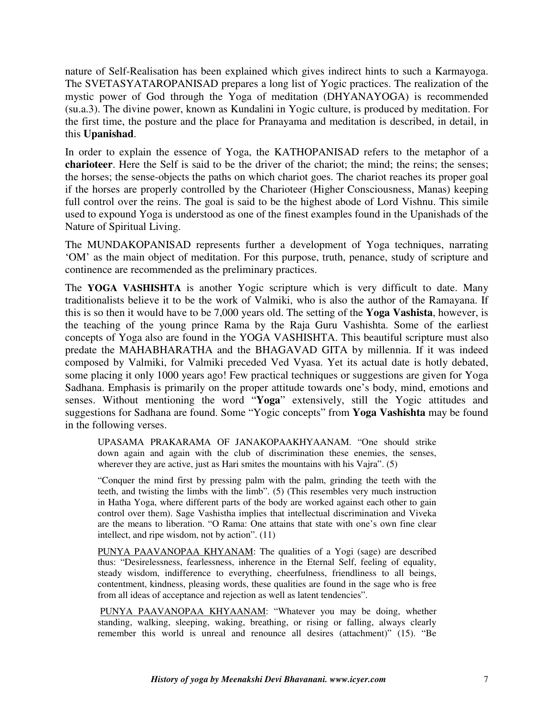nature of Self-Realisation has been explained which gives indirect hints to such a Karmayoga. The SVETASYATAROPANISAD prepares a long list of Yogic practices. The realization of the mystic power of God through the Yoga of meditation (DHYANAYOGA) is recommended (su.a.3). The divine power, known as Kundalini in Yogic culture, is produced by meditation. For the first time, the posture and the place for Pranayama and meditation is described, in detail, in this **Upanishad**.

In order to explain the essence of Yoga, the KATHOPANISAD refers to the metaphor of a **charioteer**. Here the Self is said to be the driver of the chariot; the mind; the reins; the senses; the horses; the sense-objects the paths on which chariot goes. The chariot reaches its proper goal if the horses are properly controlled by the Charioteer (Higher Consciousness, Manas) keeping full control over the reins. The goal is said to be the highest abode of Lord Vishnu. This simile used to expound Yoga is understood as one of the finest examples found in the Upanishads of the Nature of Spiritual Living.

The MUNDAKOPANISAD represents further a development of Yoga techniques, narrating 'OM' as the main object of meditation. For this purpose, truth, penance, study of scripture and continence are recommended as the preliminary practices.

The **YOGA VASHISHTA** is another Yogic scripture which is very difficult to date. Many traditionalists believe it to be the work of Valmiki, who is also the author of the Ramayana. If this is so then it would have to be 7,000 years old. The setting of the **Yoga Vashista**, however, is the teaching of the young prince Rama by the Raja Guru Vashishta. Some of the earliest concepts of Yoga also are found in the YOGA VASHISHTA. This beautiful scripture must also predate the MAHABHARATHA and the BHAGAVAD GITA by millennia. If it was indeed composed by Valmiki, for Valmiki preceded Ved Vyasa. Yet its actual date is hotly debated, some placing it only 1000 years ago! Few practical techniques or suggestions are given for Yoga Sadhana. Emphasis is primarily on the proper attitude towards one's body, mind, emotions and senses. Without mentioning the word "**Yoga**" extensively, still the Yogic attitudes and suggestions for Sadhana are found. Some "Yogic concepts" from **Yoga Vashishta** may be found in the following verses.

UPASAMA PRAKARAMA OF JANAKOPAAKHYAANAM. "One should strike down again and again with the club of discrimination these enemies, the senses, wherever they are active, just as Hari smites the mountains with his Vajra". (5)

"Conquer the mind first by pressing palm with the palm, grinding the teeth with the teeth, and twisting the limbs with the limb". (5) (This resembles very much instruction in Hatha Yoga, where different parts of the body are worked against each other to gain control over them). Sage Vashistha implies that intellectual discrimination and Viveka are the means to liberation. "O Rama: One attains that state with one's own fine clear intellect, and ripe wisdom, not by action". (11)

PUNYA PAAVANOPAA KHYANAM: The qualities of a Yogi (sage) are described thus: "Desirelessness, fearlessness, inherence in the Eternal Self, feeling of equality, steady wisdom, indifference to everything, cheerfulness, friendliness to all beings, contentment, kindness, pleasing words, these qualities are found in the sage who is free from all ideas of acceptance and rejection as well as latent tendencies".

 PUNYA PAAVANOPAA KHYAANAM: "Whatever you may be doing, whether standing, walking, sleeping, waking, breathing, or rising or falling, always clearly remember this world is unreal and renounce all desires (attachment)" (15). "Be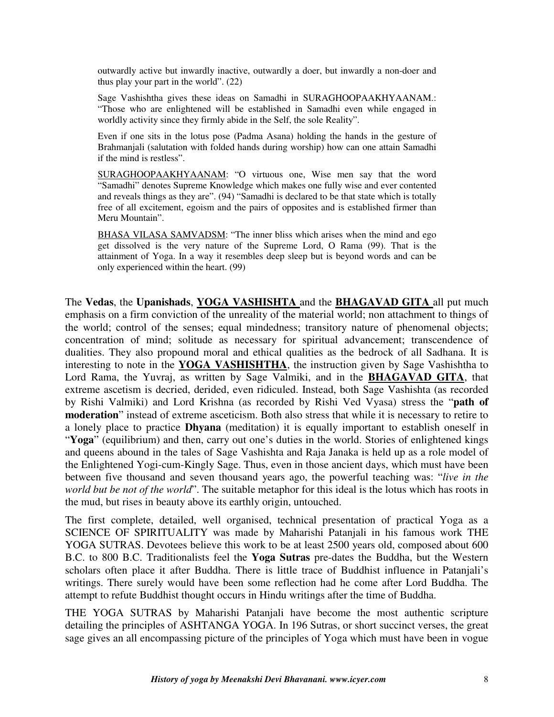outwardly active but inwardly inactive, outwardly a doer, but inwardly a non-doer and thus play your part in the world". (22)

Sage Vashishtha gives these ideas on Samadhi in SURAGHOOPAAKHYAANAM.: "Those who are enlightened will be established in Samadhi even while engaged in worldly activity since they firmly abide in the Self, the sole Reality".

Even if one sits in the lotus pose (Padma Asana) holding the hands in the gesture of Brahmanjali (salutation with folded hands during worship) how can one attain Samadhi if the mind is restless".

SURAGHOOPAAKHYAANAM: "O virtuous one, Wise men say that the word "Samadhi" denotes Supreme Knowledge which makes one fully wise and ever contented and reveals things as they are". (94) "Samadhi is declared to be that state which is totally free of all excitement, egoism and the pairs of opposites and is established firmer than Meru Mountain".

BHASA VILASA SAMVADSM: "The inner bliss which arises when the mind and ego get dissolved is the very nature of the Supreme Lord, O Rama (99). That is the attainment of Yoga. In a way it resembles deep sleep but is beyond words and can be only experienced within the heart. (99)

The **Vedas**, the **Upanishads**, **YOGA VASHISHTA** and the **BHAGAVAD GITA** all put much emphasis on a firm conviction of the unreality of the material world; non attachment to things of the world; control of the senses; equal mindedness; transitory nature of phenomenal objects; concentration of mind; solitude as necessary for spiritual advancement; transcendence of dualities. They also propound moral and ethical qualities as the bedrock of all Sadhana. It is interesting to note in the **YOGA VASHISHTHA**, the instruction given by Sage Vashishtha to Lord Rama, the Yuvraj, as written by Sage Valmiki, and in the **BHAGAVAD GITA**, that extreme ascetism is decried, derided, even ridiculed. Instead, both Sage Vashishta (as recorded by Rishi Valmiki) and Lord Krishna (as recorded by Rishi Ved Vyasa) stress the "**path of moderation**" instead of extreme asceticism. Both also stress that while it is necessary to retire to a lonely place to practice **Dhyana** (meditation) it is equally important to establish oneself in "**Yoga**" (equilibrium) and then, carry out one's duties in the world. Stories of enlightened kings and queens abound in the tales of Sage Vashishta and Raja Janaka is held up as a role model of the Enlightened Yogi-cum-Kingly Sage. Thus, even in those ancient days, which must have been between five thousand and seven thousand years ago, the powerful teaching was: "*live in the world but be not of the world*". The suitable metaphor for this ideal is the lotus which has roots in the mud, but rises in beauty above its earthly origin, untouched.

The first complete, detailed, well organised, technical presentation of practical Yoga as a SCIENCE OF SPIRITUALITY was made by Maharishi Patanjali in his famous work THE YOGA SUTRAS. Devotees believe this work to be at least 2500 years old, composed about 600 B.C. to 800 B.C. Traditionalists feel the **Yoga Sutras** pre-dates the Buddha, but the Western scholars often place it after Buddha. There is little trace of Buddhist influence in Patanjali's writings. There surely would have been some reflection had he come after Lord Buddha. The attempt to refute Buddhist thought occurs in Hindu writings after the time of Buddha.

THE YOGA SUTRAS by Maharishi Patanjali have become the most authentic scripture detailing the principles of ASHTANGA YOGA. In 196 Sutras, or short succinct verses, the great sage gives an all encompassing picture of the principles of Yoga which must have been in vogue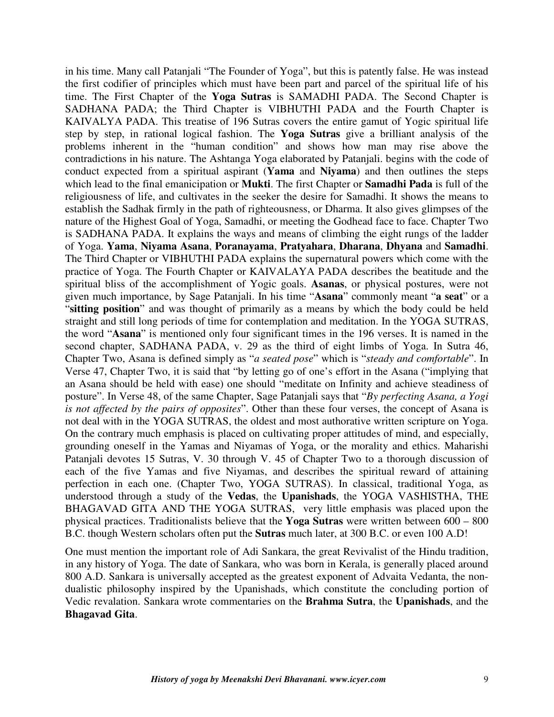in his time. Many call Patanjali "The Founder of Yoga", but this is patently false. He was instead the first codifier of principles which must have been part and parcel of the spiritual life of his time. The First Chapter of the **Yoga Sutras** is SAMADHI PADA. The Second Chapter is SADHANA PADA; the Third Chapter is VIBHUTHI PADA and the Fourth Chapter is KAIVALYA PADA. This treatise of 196 Sutras covers the entire gamut of Yogic spiritual life step by step, in rational logical fashion. The **Yoga Sutras** give a brilliant analysis of the problems inherent in the "human condition" and shows how man may rise above the contradictions in his nature. The Ashtanga Yoga elaborated by Patanjali. begins with the code of conduct expected from a spiritual aspirant (**Yama** and **Niyama**) and then outlines the steps which lead to the final emanicipation or **Mukti**. The first Chapter or **Samadhi Pada** is full of the religiousness of life, and cultivates in the seeker the desire for Samadhi. It shows the means to establish the Sadhak firmly in the path of righteousness, or Dharma. It also gives glimpses of the nature of the Highest Goal of Yoga, Samadhi, or meeting the Godhead face to face. Chapter Two is SADHANA PADA. It explains the ways and means of climbing the eight rungs of the ladder of Yoga. **Yama**, **Niyama Asana**, **Poranayama**, **Pratyahara**, **Dharana**, **Dhyana** and **Samadhi**. The Third Chapter or VIBHUTHI PADA explains the supernatural powers which come with the practice of Yoga. The Fourth Chapter or KAIVALAYA PADA describes the beatitude and the spiritual bliss of the accomplishment of Yogic goals. **Asanas**, or physical postures, were not given much importance, by Sage Patanjali. In his time "**Asana**" commonly meant "**a seat**" or a "**sitting position**" and was thought of primarily as a means by which the body could be held straight and still long periods of time for contemplation and meditation. In the YOGA SUTRAS, the word "**Asana**" is mentioned only four significant times in the 196 verses. It is named in the second chapter, SADHANA PADA, v. 29 as the third of eight limbs of Yoga. In Sutra 46, Chapter Two, Asana is defined simply as "*a seated pose*" which is "*steady and comfortable*". In Verse 47, Chapter Two, it is said that "by letting go of one's effort in the Asana ("implying that an Asana should be held with ease) one should "meditate on Infinity and achieve steadiness of posture". In Verse 48, of the same Chapter, Sage Patanjali says that "*By perfecting Asana, a Yogi is not affected by the pairs of opposites*". Other than these four verses, the concept of Asana is not deal with in the YOGA SUTRAS, the oldest and most authorative written scripture on Yoga. On the contrary much emphasis is placed on cultivating proper attitudes of mind, and especially, grounding oneself in the Yamas and Niyamas of Yoga, or the morality and ethics. Maharishi Patanjali devotes 15 Sutras, V. 30 through V. 45 of Chapter Two to a thorough discussion of each of the five Yamas and five Niyamas, and describes the spiritual reward of attaining perfection in each one. (Chapter Two, YOGA SUTRAS). In classical, traditional Yoga, as understood through a study of the **Vedas**, the **Upanishads**, the YOGA VASHISTHA, THE BHAGAVAD GITA AND THE YOGA SUTRAS, very little emphasis was placed upon the physical practices. Traditionalists believe that the **Yoga Sutras** were written between 600 – 800 B.C. though Western scholars often put the **Sutras** much later, at 300 B.C. or even 100 A.D!

One must mention the important role of Adi Sankara, the great Revivalist of the Hindu tradition, in any history of Yoga. The date of Sankara, who was born in Kerala, is generally placed around 800 A.D. Sankara is universally accepted as the greatest exponent of Advaita Vedanta, the nondualistic philosophy inspired by the Upanishads, which constitute the concluding portion of Vedic revalation. Sankara wrote commentaries on the **Brahma Sutra**, the **Upanishads**, and the **Bhagavad Gita**.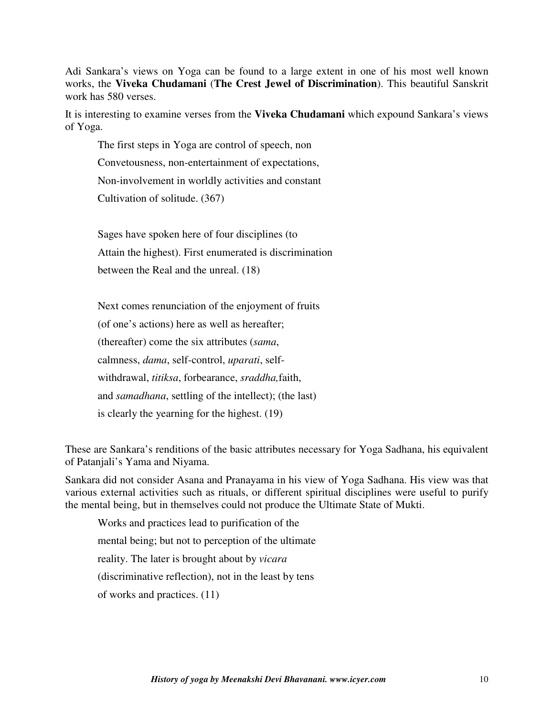Adi Sankara's views on Yoga can be found to a large extent in one of his most well known works, the **Viveka Chudamani** (**The Crest Jewel of Discrimination**). This beautiful Sanskrit work has 580 verses.

It is interesting to examine verses from the **Viveka Chudamani** which expound Sankara's views of Yoga.

The first steps in Yoga are control of speech, non Convetousness, non-entertainment of expectations, Non-involvement in worldly activities and constant Cultivation of solitude. (367)

Sages have spoken here of four disciplines (to Attain the highest). First enumerated is discrimination between the Real and the unreal. (18)

Next comes renunciation of the enjoyment of fruits (of one's actions) here as well as hereafter; (thereafter) come the six attributes (*sama*, calmness, *dama*, self-control, *uparati*, selfwithdrawal, *titiksa*, forbearance, *sraddha,*faith, and *samadhana*, settling of the intellect); (the last) is clearly the yearning for the highest. (19)

These are Sankara's renditions of the basic attributes necessary for Yoga Sadhana, his equivalent of Patanjali's Yama and Niyama.

Sankara did not consider Asana and Pranayama in his view of Yoga Sadhana. His view was that various external activities such as rituals, or different spiritual disciplines were useful to purify the mental being, but in themselves could not produce the Ultimate State of Mukti.

Works and practices lead to purification of the mental being; but not to perception of the ultimate reality. The later is brought about by *vicara* (discriminative reflection), not in the least by tens of works and practices. (11)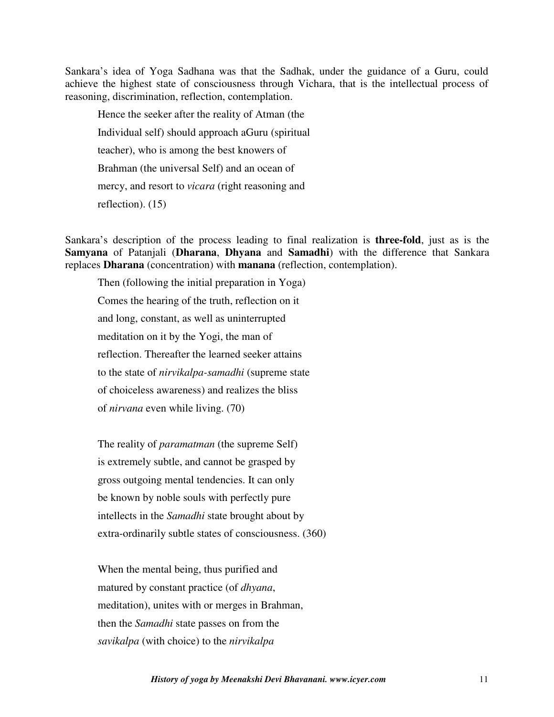Sankara's idea of Yoga Sadhana was that the Sadhak, under the guidance of a Guru, could achieve the highest state of consciousness through Vichara, that is the intellectual process of reasoning, discrimination, reflection, contemplation.

Hence the seeker after the reality of Atman (the Individual self) should approach aGuru (spiritual teacher), who is among the best knowers of Brahman (the universal Self) and an ocean of mercy, and resort to *vicara* (right reasoning and reflection). (15)

Sankara's description of the process leading to final realization is **three-fold**, just as is the **Samyana** of Patanjali (**Dharana**, **Dhyana** and **Samadhi**) with the difference that Sankara replaces **Dharana** (concentration) with **manana** (reflection, contemplation).

Then (following the initial preparation in Yoga) Comes the hearing of the truth, reflection on it and long, constant, as well as uninterrupted meditation on it by the Yogi, the man of reflection. Thereafter the learned seeker attains to the state of *nirvikalpa-samadhi* (supreme state of choiceless awareness) and realizes the bliss of *nirvana* even while living. (70)

The reality of *paramatman* (the supreme Self) is extremely subtle, and cannot be grasped by gross outgoing mental tendencies. It can only be known by noble souls with perfectly pure intellects in the *Samadhi* state brought about by extra-ordinarily subtle states of consciousness. (360)

When the mental being, thus purified and matured by constant practice (of *dhyana*, meditation), unites with or merges in Brahman, then the *Samadhi* state passes on from the *savikalpa* (with choice) to the *nirvikalpa*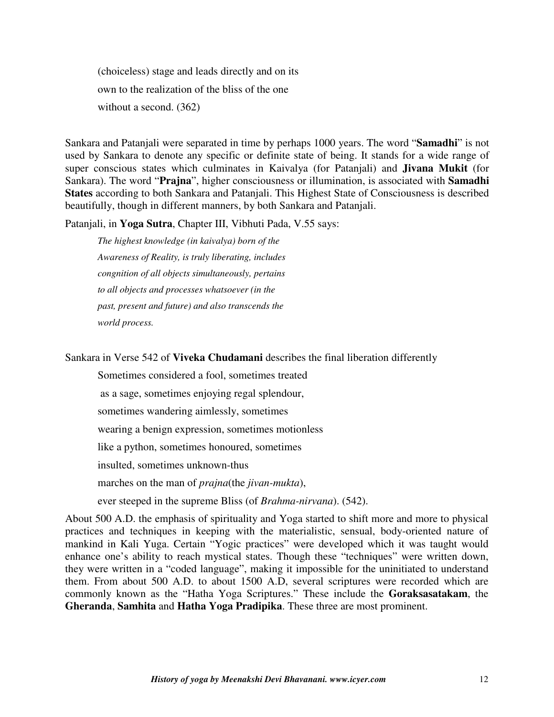(choiceless) stage and leads directly and on its own to the realization of the bliss of the one without a second. (362)

Sankara and Patanjali were separated in time by perhaps 1000 years. The word "**Samadhi**" is not used by Sankara to denote any specific or definite state of being. It stands for a wide range of super conscious states which culminates in Kaivalya (for Patanjali) and **Jivana Mukit** (for Sankara). The word "**Prajna**", higher consciousness or illumination, is associated with **Samadhi States** according to both Sankara and Patanjali. This Highest State of Consciousness is described beautifully, though in different manners, by both Sankara and Patanjali.

Patanjali, in **Yoga Sutra**, Chapter III, Vibhuti Pada, V.55 says:

*The highest knowledge (in kaivalya) born of the Awareness of Reality, is truly liberating, includes congnition of all objects simultaneously, pertains to all objects and processes whatsoever (in the past, present and future) and also transcends the world process.* 

Sankara in Verse 542 of **Viveka Chudamani** describes the final liberation differently

Sometimes considered a fool, sometimes treated

as a sage, sometimes enjoying regal splendour,

sometimes wandering aimlessly, sometimes

wearing a benign expression, sometimes motionless

like a python, sometimes honoured, sometimes

insulted, sometimes unknown-thus

marches on the man of *prajna*(the *jivan-mukta*),

ever steeped in the supreme Bliss (of *Brahma-nirvana*). (542).

About 500 A.D. the emphasis of spirituality and Yoga started to shift more and more to physical practices and techniques in keeping with the materialistic, sensual, body-oriented nature of mankind in Kali Yuga. Certain "Yogic practices" were developed which it was taught would enhance one's ability to reach mystical states. Though these "techniques" were written down, they were written in a "coded language", making it impossible for the uninitiated to understand them. From about 500 A.D. to about 1500 A.D, several scriptures were recorded which are commonly known as the "Hatha Yoga Scriptures." These include the **Goraksasatakam**, the **Gheranda**, **Samhita** and **Hatha Yoga Pradipika**. These three are most prominent.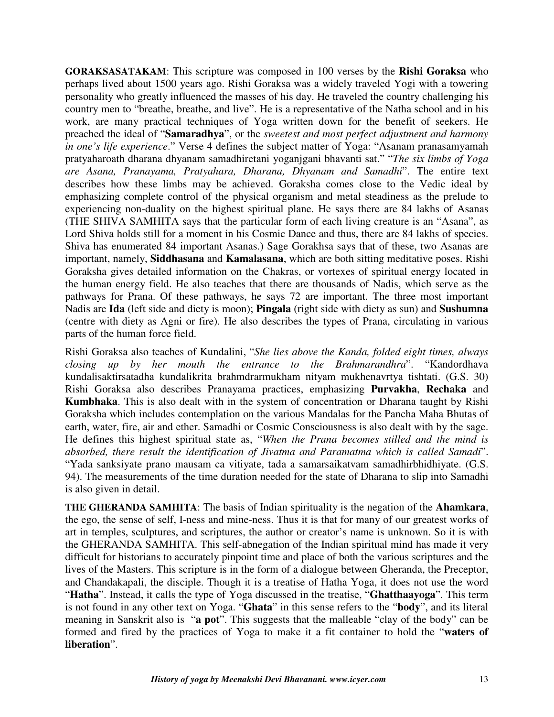**GORAKSASATAKAM**: This scripture was composed in 100 verses by the **Rishi Goraksa** who perhaps lived about 1500 years ago. Rishi Goraksa was a widely traveled Yogi with a towering personality who greatly influenced the masses of his day. He traveled the country challenging his country men to "breathe, breathe, and live". He is a representative of the Natha school and in his work, are many practical techniques of Yoga written down for the benefit of seekers. He preached the ideal of "**Samaradhya**", or the *sweetest and most perfect adjustment and harmony in one's life experience*." Verse 4 defines the subject matter of Yoga: "Asanam pranasamyamah pratyaharoath dharana dhyanam samadhiretani yoganjgani bhavanti sat." "*The six limbs of Yoga are Asana, Pranayama, Pratyahara, Dharana, Dhyanam and Samadhi*". The entire text describes how these limbs may be achieved. Goraksha comes close to the Vedic ideal by emphasizing complete control of the physical organism and metal steadiness as the prelude to experiencing non-duality on the highest spiritual plane. He says there are 84 lakhs of Asanas (THE SHIVA SAMHITA says that the particular form of each living creature is an "Asana", as Lord Shiva holds still for a moment in his Cosmic Dance and thus, there are 84 lakhs of species. Shiva has enumerated 84 important Asanas.) Sage Gorakhsa says that of these, two Asanas are important, namely, **Siddhasana** and **Kamalasana**, which are both sitting meditative poses. Rishi Goraksha gives detailed information on the Chakras, or vortexes of spiritual energy located in the human energy field. He also teaches that there are thousands of Nadis, which serve as the pathways for Prana. Of these pathways, he says 72 are important. The three most important Nadis are **Ida** (left side and diety is moon); **Pingala** (right side with diety as sun) and **Sushumna**  (centre with diety as Agni or fire). He also describes the types of Prana, circulating in various parts of the human force field.

Rishi Goraksa also teaches of Kundalini, "*She lies above the Kanda, folded eight times, always closing up by her mouth the entrance to the Brahmarandhra*". "Kandordhava kundalisaktirsatadha kundalikrita brahmdrarmukham nityam mukhenavrtya tishtati. (G.S. 30) Rishi Goraksa also describes Pranayama practices, emphasizing **Purvakha**, **Rechaka** and **Kumbhaka**. This is also dealt with in the system of concentration or Dharana taught by Rishi Goraksha which includes contemplation on the various Mandalas for the Pancha Maha Bhutas of earth, water, fire, air and ether. Samadhi or Cosmic Consciousness is also dealt with by the sage. He defines this highest spiritual state as, "*When the Prana becomes stilled and the mind is absorbed, there result the identification of Jivatma and Paramatma which is called Samadi*". "Yada sanksiyate prano mausam ca vitiyate, tada a samarsaikatvam samadhirbhidhiyate. (G.S. 94). The measurements of the time duration needed for the state of Dharana to slip into Samadhi is also given in detail.

**THE GHERANDA SAMHITA**: The basis of Indian spirituality is the negation of the **Ahamkara**, the ego, the sense of self, I-ness and mine-ness. Thus it is that for many of our greatest works of art in temples, sculptures, and scriptures, the author or creator's name is unknown. So it is with the GHERANDA SAMHITA. This self-abnegation of the Indian spiritual mind has made it very difficult for historians to accurately pinpoint time and place of both the various scriptures and the lives of the Masters. This scripture is in the form of a dialogue between Gheranda, the Preceptor, and Chandakapali, the disciple. Though it is a treatise of Hatha Yoga, it does not use the word "**Hatha**". Instead, it calls the type of Yoga discussed in the treatise, "**Ghatthaayoga**". This term is not found in any other text on Yoga. "**Ghata**" in this sense refers to the "**body**", and its literal meaning in Sanskrit also is "**a pot**". This suggests that the malleable "clay of the body" can be formed and fired by the practices of Yoga to make it a fit container to hold the "**waters of liberation**".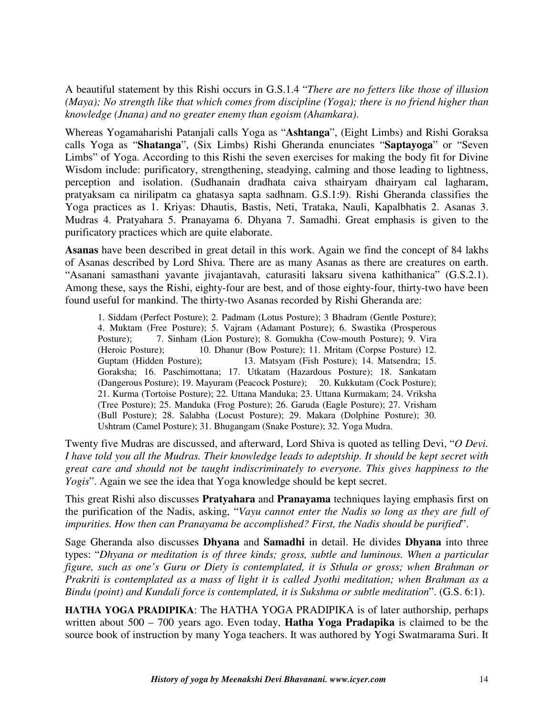A beautiful statement by this Rishi occurs in G.S.1.4 "*There are no fetters like those of illusion (Maya); No strength like that which comes from discipline (Yoga); there is no friend higher than knowledge (Jnana) and no greater enemy than egoism (Ahamkara)*.

Whereas Yogamaharishi Patanjali calls Yoga as "**Ashtanga**", (Eight Limbs) and Rishi Goraksa calls Yoga as "**Shatanga**", (Six Limbs) Rishi Gheranda enunciates "**Saptayoga**" or "Seven Limbs" of Yoga. According to this Rishi the seven exercises for making the body fit for Divine Wisdom include: purificatory, strengthening, steadying, calming and those leading to lightness, perception and isolation. (Sudhanain dradhata caiva sthairyam dhairyam cal lagharam, pratyaksam ca nirilipatm ca ghatasya sapta sadhnam. G.S.1:9). Rishi Gheranda classifies the Yoga practices as 1. Kriyas: Dhautis, Bastis, Neti, Trataka, Nauli, Kapalbhatis 2. Asanas 3. Mudras 4. Pratyahara 5. Pranayama 6. Dhyana 7. Samadhi. Great emphasis is given to the purificatory practices which are quite elaborate.

**Asanas** have been described in great detail in this work. Again we find the concept of 84 lakhs of Asanas described by Lord Shiva. There are as many Asanas as there are creatures on earth. "Asanani samasthani yavante jivajantavah, caturasiti laksaru sivena kathithanica" (G.S.2.1). Among these, says the Rishi, eighty-four are best, and of those eighty-four, thirty-two have been found useful for mankind. The thirty-two Asanas recorded by Rishi Gheranda are:

1. Siddam (Perfect Posture); 2. Padmam (Lotus Posture); 3 Bhadram (Gentle Posture); 4. Muktam (Free Posture); 5. Vajram (Adamant Posture); 6. Swastika (Prosperous Posture); 7. Sinham (Lion Posture); 8. Gomukha (Cow-mouth Posture); 9. Vira (Heroic Posture); 10. Dhanur (Bow Posture); 11. Mritam (Corpse Posture) 12. 10. Dhanur (Bow Posture); 11. Mritam (Corpse Posture) 12. Guptam (Hidden Posture); 13. Matsyam (Fish Posture); 14. Matsendra; 15. Goraksha; 16. Paschimottana; 17. Utkatam (Hazardous Posture); 18. Sankatam (Dangerous Posture); 19. Mayuram (Peacock Posture); 20. Kukkutam (Cock Posture); 21. Kurma (Tortoise Posture); 22. Uttana Manduka; 23. Uttana Kurmakam; 24. Vriksha (Tree Posture); 25. Manduka (Frog Posture); 26. Garuda (Eagle Posture); 27. Vrisham (Bull Posture); 28. Salabha (Locust Posture); 29. Makara (Dolphine Posture); 30. Ushtram (Camel Posture); 31. Bhugangam (Snake Posture); 32. Yoga Mudra.

Twenty five Mudras are discussed, and afterward, Lord Shiva is quoted as telling Devi, "*O Devi. I have told you all the Mudras. Their knowledge leads to adeptship. It should be kept secret with great care and should not be taught indiscriminately to everyone. This gives happiness to the Yogis*". Again we see the idea that Yoga knowledge should be kept secret.

This great Rishi also discusses **Pratyahara** and **Pranayama** techniques laying emphasis first on the purification of the Nadis, asking, "*Vayu cannot enter the Nadis so long as they are full of impurities. How then can Pranayama be accomplished? First, the Nadis should be purified*".

Sage Gheranda also discusses **Dhyana** and **Samadhi** in detail. He divides **Dhyana** into three types: "*Dhyana or meditation is of three kinds; gross, subtle and luminous. When a particular figure, such as one's Guru or Diety is contemplated, it is Sthula or gross; when Brahman or Prakriti is contemplated as a mass of light it is called Jyothi meditation; when Brahman as a Bindu (point) and Kundali force is contemplated, it is Sukshma or subtle meditation*". (G.S. 6:1).

**HATHA YOGA PRADIPIKA**: The HATHA YOGA PRADIPIKA is of later authorship, perhaps written about 500 – 700 years ago. Even today, **Hatha Yoga Pradapika** is claimed to be the source book of instruction by many Yoga teachers. It was authored by Yogi Swatmarama Suri. It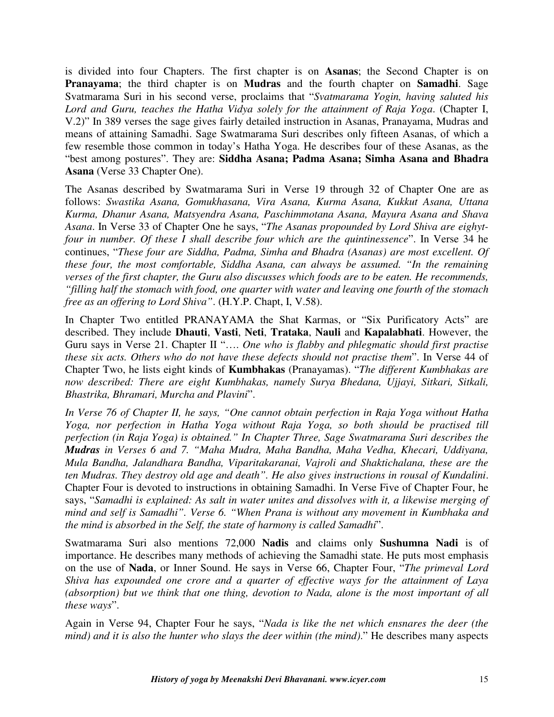is divided into four Chapters. The first chapter is on **Asanas**; the Second Chapter is on **Pranayama**; the third chapter is on **Mudras** and the fourth chapter on **Samadhi**. Sage Svatmarama Suri in his second verse, proclaims that "*Svatmarama Yogin, having saluted his Lord and Guru, teaches the Hatha Vidya solely for the attainment of Raja Yoga*. (Chapter I, V.2)" In 389 verses the sage gives fairly detailed instruction in Asanas, Pranayama, Mudras and means of attaining Samadhi. Sage Swatmarama Suri describes only fifteen Asanas, of which a few resemble those common in today's Hatha Yoga. He describes four of these Asanas, as the "best among postures". They are: **Siddha Asana; Padma Asana; Simha Asana and Bhadra Asana** (Verse 33 Chapter One).

The Asanas described by Swatmarama Suri in Verse 19 through 32 of Chapter One are as follows: *Swastika Asana, Gomukhasana, Vira Asana, Kurma Asana, Kukkut Asana, Uttana Kurma, Dhanur Asana, Matsyendra Asana, Paschimmotana Asana, Mayura Asana and Shava Asana*. In Verse 33 of Chapter One he says, "*The Asanas propounded by Lord Shiva are eighytfour in number. Of these I shall describe four which are the quintinessence*". In Verse 34 he continues, "*These four are Siddha, Padma, Simha and Bhadra (Asanas) are most excellent. Of these four, the most comfortable, Siddha Asana, can always be assumed. "In the remaining verses of the first chapter, the Guru also discusses which foods are to be eaten. He recommends, "filling half the stomach with food, one quarter with water and leaving one fourth of the stomach free as an offering to Lord Shiva"*. (H.Y.P. Chapt, I, V.58).

In Chapter Two entitled PRANAYAMA the Shat Karmas, or "Six Purificatory Acts" are described. They include **Dhauti**, **Vasti**, **Neti**, **Trataka**, **Nauli** and **Kapalabhati**. However, the Guru says in Verse 21. Chapter II "…. *One who is flabby and phlegmatic should first practise these six acts. Others who do not have these defects should not practise them*". In Verse 44 of Chapter Two, he lists eight kinds of **Kumbhakas** (Pranayamas). "*The different Kumbhakas are now described: There are eight Kumbhakas, namely Surya Bhedana, Ujjayi, Sitkari, Sitkali, Bhastrika, Bhramari, Murcha and Plavini*".

*In Verse 76 of Chapter II, he says, "One cannot obtain perfection in Raja Yoga without Hatha Yoga, nor perfection in Hatha Yoga without Raja Yoga, so both should be practised till perfection (in Raja Yoga) is obtained." In Chapter Three, Sage Swatmarama Suri describes the Mudras in Verses 6 and 7. "Maha Mudra, Maha Bandha, Maha Vedha, Khecari, Uddiyana, Mula Bandha, Jalandhara Bandha, Viparitakaranai, Vajroli and Shaktichalana, these are the ten Mudras. They destroy old age and death". He also gives instructions in rousal of Kundalini*. Chapter Four is devoted to instructions in obtaining Samadhi. In Verse Five of Chapter Four, he says, "*Samadhi is explained: As salt in water unites and dissolves with it, a likewise merging of mind and self is Samadhi". Verse 6. "When Prana is without any movement in Kumbhaka and the mind is absorbed in the Self, the state of harmony is called Samadhi*".

Swatmarama Suri also mentions 72,000 **Nadis** and claims only **Sushumna Nadi** is of importance. He describes many methods of achieving the Samadhi state. He puts most emphasis on the use of **Nada**, or Inner Sound. He says in Verse 66, Chapter Four, "*The primeval Lord Shiva has expounded one crore and a quarter of effective ways for the attainment of Laya (absorption) but we think that one thing, devotion to Nada, alone is the most important of all these ways*".

Again in Verse 94, Chapter Four he says, "*Nada is like the net which ensnares the deer (the mind) and it is also the hunter who slays the deer within (the mind)*." He describes many aspects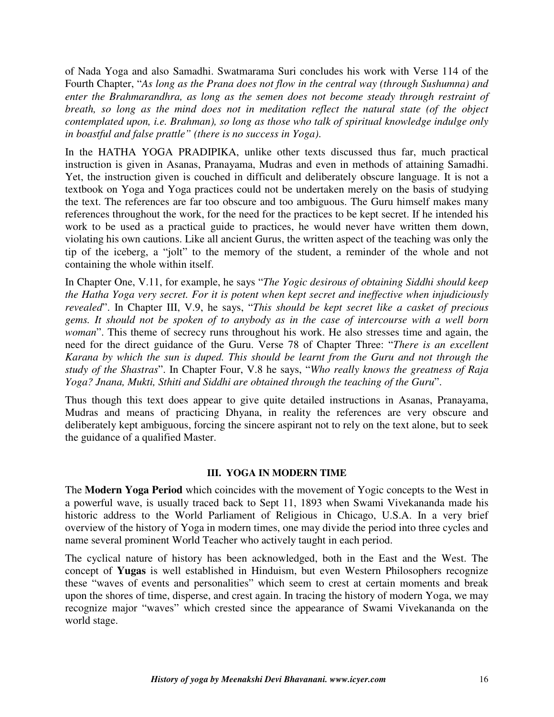of Nada Yoga and also Samadhi. Swatmarama Suri concludes his work with Verse 114 of the Fourth Chapter, "*As long as the Prana does not flow in the central way (through Sushumna) and enter the Brahmarandhra, as long as the semen does not become steady through restraint of breath, so long as the mind does not in meditation reflect the natural state (of the object contemplated upon, i.e. Brahman), so long as those who talk of spiritual knowledge indulge only in boastful and false prattle" (there is no success in Yoga)*.

In the HATHA YOGA PRADIPIKA, unlike other texts discussed thus far, much practical instruction is given in Asanas, Pranayama, Mudras and even in methods of attaining Samadhi. Yet, the instruction given is couched in difficult and deliberately obscure language. It is not a textbook on Yoga and Yoga practices could not be undertaken merely on the basis of studying the text. The references are far too obscure and too ambiguous. The Guru himself makes many references throughout the work, for the need for the practices to be kept secret. If he intended his work to be used as a practical guide to practices, he would never have written them down, violating his own cautions. Like all ancient Gurus, the written aspect of the teaching was only the tip of the iceberg, a "jolt" to the memory of the student, a reminder of the whole and not containing the whole within itself.

In Chapter One, V.11, for example, he says "*The Yogic desirous of obtaining Siddhi should keep the Hatha Yoga very secret. For it is potent when kept secret and ineffective when injudiciously revealed*". In Chapter III, V.9, he says, "*This should be kept secret like a casket of precious gems. It should not be spoken of to anybody as in the case of intercourse with a well born woman*". This theme of secrecy runs throughout his work. He also stresses time and again, the need for the direct guidance of the Guru. Verse 78 of Chapter Three: "*There is an excellent Karana by which the sun is duped. This should be learnt from the Guru and not through the study of the Shastras*". In Chapter Four, V.8 he says, "*Who really knows the greatness of Raja Yoga? Jnana, Mukti, Sthiti and Siddhi are obtained through the teaching of the Guru*".

Thus though this text does appear to give quite detailed instructions in Asanas, Pranayama, Mudras and means of practicing Dhyana, in reality the references are very obscure and deliberately kept ambiguous, forcing the sincere aspirant not to rely on the text alone, but to seek the guidance of a qualified Master.

#### **III. YOGA IN MODERN TIME**

The **Modern Yoga Period** which coincides with the movement of Yogic concepts to the West in a powerful wave, is usually traced back to Sept 11, 1893 when Swami Vivekananda made his historic address to the World Parliament of Religious in Chicago, U.S.A. In a very brief overview of the history of Yoga in modern times, one may divide the period into three cycles and name several prominent World Teacher who actively taught in each period.

The cyclical nature of history has been acknowledged, both in the East and the West. The concept of **Yugas** is well established in Hinduism, but even Western Philosophers recognize these "waves of events and personalities" which seem to crest at certain moments and break upon the shores of time, disperse, and crest again. In tracing the history of modern Yoga, we may recognize major "waves" which crested since the appearance of Swami Vivekananda on the world stage.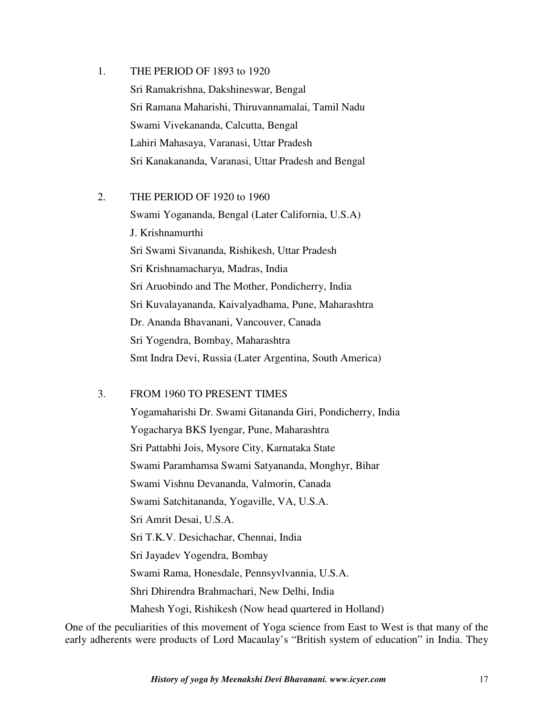- 1. THE PERIOD OF 1893 to 1920 Sri Ramakrishna, Dakshineswar, Bengal Sri Ramana Maharishi, Thiruvannamalai, Tamil Nadu Swami Vivekananda, Calcutta, Bengal Lahiri Mahasaya, Varanasi, Uttar Pradesh Sri Kanakananda, Varanasi, Uttar Pradesh and Bengal
- 2. THE PERIOD OF 1920 to 1960

 Swami Yogananda, Bengal (Later California, U.S.A) J. Krishnamurthi Sri Swami Sivananda, Rishikesh, Uttar Pradesh Sri Krishnamacharya, Madras, India Sri Aruobindo and The Mother, Pondicherry, India Sri Kuvalayananda, Kaivalyadhama, Pune, Maharashtra Dr. Ananda Bhavanani, Vancouver, Canada Sri Yogendra, Bombay, Maharashtra Smt Indra Devi, Russia (Later Argentina, South America)

### 3. FROM 1960 TO PRESENT TIMES

 Yogamaharishi Dr. Swami Gitananda Giri, Pondicherry, India Yogacharya BKS Iyengar, Pune, Maharashtra Sri Pattabhi Jois, Mysore City, Karnataka State Swami Paramhamsa Swami Satyananda, Monghyr, Bihar Swami Vishnu Devananda, Valmorin, Canada Swami Satchitananda, Yogaville, VA, U.S.A. Sri Amrit Desai, U.S.A. Sri T.K.V. Desichachar, Chennai, India Sri Jayadev Yogendra, Bombay Swami Rama, Honesdale, Pennsyvlvannia, U.S.A. Shri Dhirendra Brahmachari, New Delhi, India Mahesh Yogi, Rishikesh (Now head quartered in Holland)

One of the peculiarities of this movement of Yoga science from East to West is that many of the early adherents were products of Lord Macaulay's "British system of education" in India. They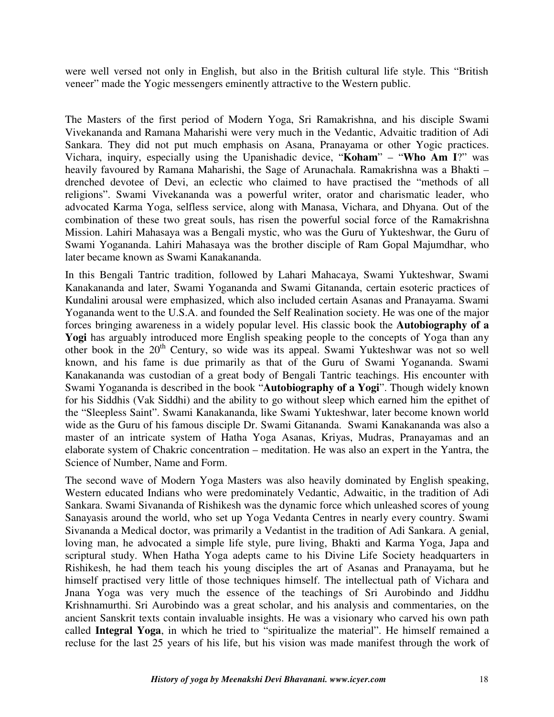were well versed not only in English, but also in the British cultural life style. This "British veneer" made the Yogic messengers eminently attractive to the Western public.

The Masters of the first period of Modern Yoga, Sri Ramakrishna, and his disciple Swami Vivekananda and Ramana Maharishi were very much in the Vedantic, Advaitic tradition of Adi Sankara. They did not put much emphasis on Asana, Pranayama or other Yogic practices. Vichara, inquiry, especially using the Upanishadic device, "**Koham**" – "**Who Am I**?" was heavily favoured by Ramana Maharishi, the Sage of Arunachala. Ramakrishna was a Bhakti – drenched devotee of Devi, an eclectic who claimed to have practised the "methods of all religions". Swami Vivekananda was a powerful writer, orator and charismatic leader, who advocated Karma Yoga, selfless service, along with Manasa, Vichara, and Dhyana. Out of the combination of these two great souls, has risen the powerful social force of the Ramakrishna Mission. Lahiri Mahasaya was a Bengali mystic, who was the Guru of Yukteshwar, the Guru of Swami Yogananda. Lahiri Mahasaya was the brother disciple of Ram Gopal Majumdhar, who later became known as Swami Kanakananda.

In this Bengali Tantric tradition, followed by Lahari Mahacaya, Swami Yukteshwar, Swami Kanakananda and later, Swami Yogananda and Swami Gitananda, certain esoteric practices of Kundalini arousal were emphasized, which also included certain Asanas and Pranayama. Swami Yogananda went to the U.S.A. and founded the Self Realination society. He was one of the major forces bringing awareness in a widely popular level. His classic book the **Autobiography of a**  Yogi has arguably introduced more English speaking people to the concepts of Yoga than any other book in the 20<sup>th</sup> Century, so wide was its appeal. Swami Yukteshwar was not so well known, and his fame is due primarily as that of the Guru of Swami Yogananda. Swami Kanakananda was custodian of a great body of Bengali Tantric teachings. His encounter with Swami Yogananda is described in the book "**Autobiography of a Yogi**". Though widely known for his Siddhis (Vak Siddhi) and the ability to go without sleep which earned him the epithet of the "Sleepless Saint". Swami Kanakananda, like Swami Yukteshwar, later become known world wide as the Guru of his famous disciple Dr. Swami Gitananda. Swami Kanakananda was also a master of an intricate system of Hatha Yoga Asanas, Kriyas, Mudras, Pranayamas and an elaborate system of Chakric concentration – meditation. He was also an expert in the Yantra, the Science of Number, Name and Form.

The second wave of Modern Yoga Masters was also heavily dominated by English speaking, Western educated Indians who were predominately Vedantic, Adwaitic, in the tradition of Adi Sankara. Swami Sivananda of Rishikesh was the dynamic force which unleashed scores of young Sanayasis around the world, who set up Yoga Vedanta Centres in nearly every country. Swami Sivananda a Medical doctor, was primarily a Vedantist in the tradition of Adi Sankara. A genial, loving man, he advocated a simple life style, pure living, Bhakti and Karma Yoga, Japa and scriptural study. When Hatha Yoga adepts came to his Divine Life Society headquarters in Rishikesh, he had them teach his young disciples the art of Asanas and Pranayama, but he himself practised very little of those techniques himself. The intellectual path of Vichara and Jnana Yoga was very much the essence of the teachings of Sri Aurobindo and Jiddhu Krishnamurthi. Sri Aurobindo was a great scholar, and his analysis and commentaries, on the ancient Sanskrit texts contain invaluable insights. He was a visionary who carved his own path called **Integral Yoga**, in which he tried to "spiritualize the material". He himself remained a recluse for the last 25 years of his life, but his vision was made manifest through the work of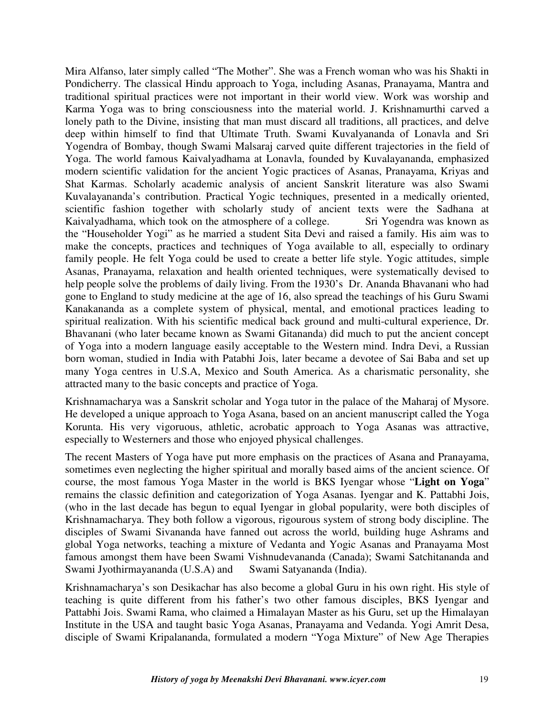Mira Alfanso, later simply called "The Mother". She was a French woman who was his Shakti in Pondicherry. The classical Hindu approach to Yoga, including Asanas, Pranayama, Mantra and traditional spiritual practices were not important in their world view. Work was worship and Karma Yoga was to bring consciousness into the material world. J. Krishnamurthi carved a lonely path to the Divine, insisting that man must discard all traditions, all practices, and delve deep within himself to find that Ultimate Truth. Swami Kuvalyananda of Lonavla and Sri Yogendra of Bombay, though Swami Malsaraj carved quite different trajectories in the field of Yoga. The world famous Kaivalyadhama at Lonavla, founded by Kuvalayananda, emphasized modern scientific validation for the ancient Yogic practices of Asanas, Pranayama, Kriyas and Shat Karmas. Scholarly academic analysis of ancient Sanskrit literature was also Swami Kuvalayananda's contribution. Practical Yogic techniques, presented in a medically oriented, scientific fashion together with scholarly study of ancient texts were the Sadhana at Kaivalyadhama, which took on the atmosphere of a college. Sri Yogendra was known as the "Householder Yogi" as he married a student Sita Devi and raised a family. His aim was to make the concepts, practices and techniques of Yoga available to all, especially to ordinary family people. He felt Yoga could be used to create a better life style. Yogic attitudes, simple Asanas, Pranayama, relaxation and health oriented techniques, were systematically devised to help people solve the problems of daily living. From the 1930's Dr. Ananda Bhavanani who had gone to England to study medicine at the age of 16, also spread the teachings of his Guru Swami Kanakananda as a complete system of physical, mental, and emotional practices leading to spiritual realization. With his scientific medical back ground and multi-cultural experience, Dr. Bhavanani (who later became known as Swami Gitananda) did much to put the ancient concept of Yoga into a modern language easily acceptable to the Western mind. Indra Devi, a Russian born woman, studied in India with Patabhi Jois, later became a devotee of Sai Baba and set up many Yoga centres in U.S.A, Mexico and South America. As a charismatic personality, she attracted many to the basic concepts and practice of Yoga.

Krishnamacharya was a Sanskrit scholar and Yoga tutor in the palace of the Maharaj of Mysore. He developed a unique approach to Yoga Asana, based on an ancient manuscript called the Yoga Korunta. His very vigoruous, athletic, acrobatic approach to Yoga Asanas was attractive, especially to Westerners and those who enjoyed physical challenges.

The recent Masters of Yoga have put more emphasis on the practices of Asana and Pranayama, sometimes even neglecting the higher spiritual and morally based aims of the ancient science. Of course, the most famous Yoga Master in the world is BKS Iyengar whose "**Light on Yoga**" remains the classic definition and categorization of Yoga Asanas. Iyengar and K. Pattabhi Jois, (who in the last decade has begun to equal Iyengar in global popularity, were both disciples of Krishnamacharya. They both follow a vigorous, rigourous system of strong body discipline. The disciples of Swami Sivananda have fanned out across the world, building huge Ashrams and global Yoga networks, teaching a mixture of Vedanta and Yogic Asanas and Pranayama Most famous amongst them have been Swami Vishnudevananda (Canada); Swami Satchitananda and Swami Jyothirmayananda (U.S.A) and Swami Satyananda (India).

Krishnamacharya's son Desikachar has also become a global Guru in his own right. His style of teaching is quite different from his father's two other famous disciples, BKS Iyengar and Pattabhi Jois. Swami Rama, who claimed a Himalayan Master as his Guru, set up the Himalayan Institute in the USA and taught basic Yoga Asanas, Pranayama and Vedanda. Yogi Amrit Desa, disciple of Swami Kripalananda, formulated a modern "Yoga Mixture" of New Age Therapies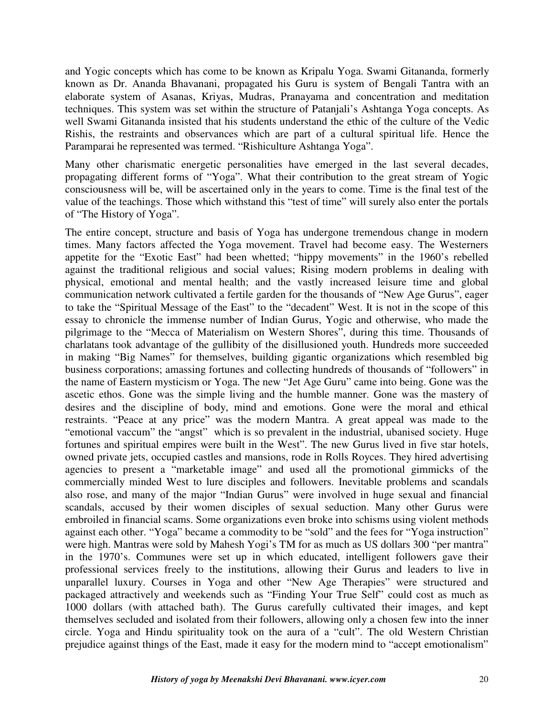and Yogic concepts which has come to be known as Kripalu Yoga. Swami Gitananda, formerly known as Dr. Ananda Bhavanani, propagated his Guru is system of Bengali Tantra with an elaborate system of Asanas, Kriyas, Mudras, Pranayama and concentration and meditation techniques. This system was set within the structure of Patanjali's Ashtanga Yoga concepts. As well Swami Gitananda insisted that his students understand the ethic of the culture of the Vedic Rishis, the restraints and observances which are part of a cultural spiritual life. Hence the Paramparai he represented was termed. "Rishiculture Ashtanga Yoga".

Many other charismatic energetic personalities have emerged in the last several decades, propagating different forms of "Yoga". What their contribution to the great stream of Yogic consciousness will be, will be ascertained only in the years to come. Time is the final test of the value of the teachings. Those which withstand this "test of time" will surely also enter the portals of "The History of Yoga".

The entire concept, structure and basis of Yoga has undergone tremendous change in modern times. Many factors affected the Yoga movement. Travel had become easy. The Westerners appetite for the "Exotic East" had been whetted; "hippy movements" in the 1960's rebelled against the traditional religious and social values; Rising modern problems in dealing with physical, emotional and mental health; and the vastly increased leisure time and global communication network cultivated a fertile garden for the thousands of "New Age Gurus", eager to take the "Spiritual Message of the East" to the "decadent" West. It is not in the scope of this essay to chronicle the immense number of Indian Gurus, Yogic and otherwise, who made the pilgrimage to the "Mecca of Materialism on Western Shores", during this time. Thousands of charlatans took advantage of the gullibity of the disillusioned youth. Hundreds more succeeded in making "Big Names" for themselves, building gigantic organizations which resembled big business corporations; amassing fortunes and collecting hundreds of thousands of "followers" in the name of Eastern mysticism or Yoga. The new "Jet Age Guru" came into being. Gone was the ascetic ethos. Gone was the simple living and the humble manner. Gone was the mastery of desires and the discipline of body, mind and emotions. Gone were the moral and ethical restraints. "Peace at any price" was the modern Mantra. A great appeal was made to the "emotional vaccum" the "angst" which is so prevalent in the industrial, ubanised society. Huge fortunes and spiritual empires were built in the West". The new Gurus lived in five star hotels, owned private jets, occupied castles and mansions, rode in Rolls Royces. They hired advertising agencies to present a "marketable image" and used all the promotional gimmicks of the commercially minded West to lure disciples and followers. Inevitable problems and scandals also rose, and many of the major "Indian Gurus" were involved in huge sexual and financial scandals, accused by their women disciples of sexual seduction. Many other Gurus were embroiled in financial scams. Some organizations even broke into schisms using violent methods against each other. "Yoga" became a commodity to be "sold" and the fees for "Yoga instruction" were high. Mantras were sold by Mahesh Yogi's TM for as much as US dollars 300 "per mantra" in the 1970's. Communes were set up in which educated, intelligent followers gave their professional services freely to the institutions, allowing their Gurus and leaders to live in unparallel luxury. Courses in Yoga and other "New Age Therapies" were structured and packaged attractively and weekends such as "Finding Your True Self" could cost as much as 1000 dollars (with attached bath). The Gurus carefully cultivated their images, and kept themselves secluded and isolated from their followers, allowing only a chosen few into the inner circle. Yoga and Hindu spirituality took on the aura of a "cult". The old Western Christian prejudice against things of the East, made it easy for the modern mind to "accept emotionalism"